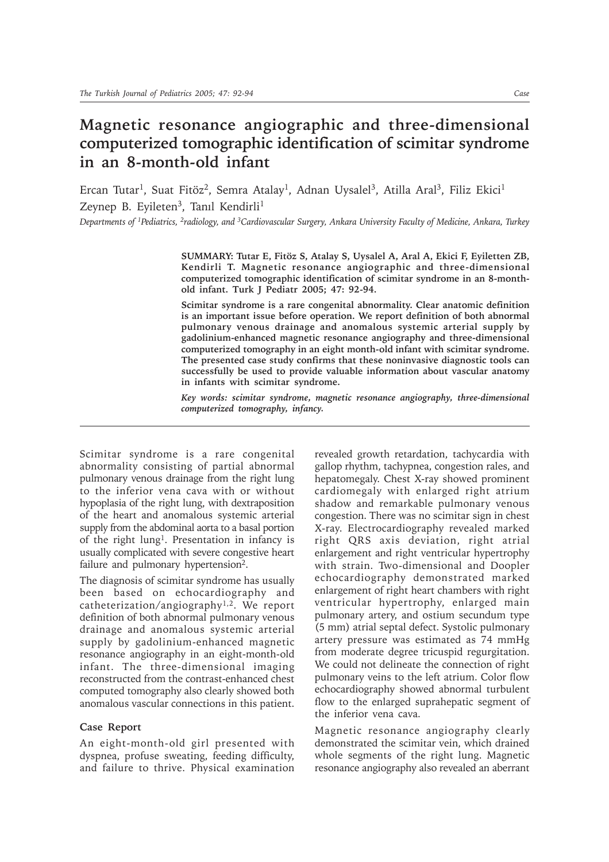## **Magnetic resonance angiographic and three-dimensional computerized tomographic identification of scimitar syndrome in an 8-month-old infant**

Ercan Tutar<sup>1</sup>, Suat Fitöz<sup>2</sup>, Semra Atalay<sup>1</sup>, Adnan Uysalel<sup>3</sup>, Atilla Aral<sup>3</sup>, Filiz Ekici<sup>1</sup> Zeynep B. Eyileten<sup>3</sup>, Tanıl Kendirli<sup>1</sup>

*Departments of 1Pediatrics, 2radiology, and 3Cardiovascular Surgery, Ankara University Faculty of Medicine, Ankara, Turkey*

SUMMARY: Tutar E, Fitöz S, Atalay S, Uysalel A, Aral A, Ekici F, Eyiletten ZB, **Kendirli T. Magnetic resonance angiographic and three-dimensional computerized tomographic identification of scimitar syndrome in an 8-monthold infant. Turk J Pediatr 2005; 47: 92-94.**

**Scimitar syndrome is a rare congenital abnormality. Clear anatomic definition is an important issue before operation. We report definition of both abnormal pulmonary venous drainage and anomalous systemic arterial supply by gadolinium-enhanced magnetic resonance angiography and three-dimensional computerized tomography in an eight month-old infant with scimitar syndrome. The presented case study confirms that these noninvasive diagnostic tools can successfully be used to provide valuable information about vascular anatomy in infants with scimitar syndrome.**

*Key words: scimitar syndrome, magnetic resonance angiography, three-dimensional computerized tomography, infancy.*

Scimitar syndrome is a rare congenital abnormality consisting of partial abnormal pulmonary venous drainage from the right lung to the inferior vena cava with or without hypoplasia of the right lung, with dextraposition of the heart and anomalous systemic arterial supply from the abdominal aorta to a basal portion of the right lung1. Presentation in infancy is usually complicated with severe congestive heart failure and pulmonary hypertension<sup>2</sup>.

The diagnosis of scimitar syndrome has usually been based on echocardiography and catheterization/angiography1,2. We report definition of both abnormal pulmonary venous drainage and anomalous systemic arterial supply by gadolinium-enhanced magnetic resonance angiography in an eight-month-old infant. The three-dimensional imaging reconstructed from the contrast-enhanced chest computed tomography also clearly showed both anomalous vascular connections in this patient.

## **Case Report**

An eight-month-old girl presented with dyspnea, profuse sweating, feeding difficulty, and failure to thrive. Physical examination revealed growth retardation, tachycardia with gallop rhythm, tachypnea, congestion rales, and hepatomegaly. Chest X-ray showed prominent cardiomegaly with enlarged right atrium shadow and remarkable pulmonary venous congestion. There was no scimitar sign in chest X-ray. Electrocardiography revealed marked right QRS axis deviation, right atrial enlargement and right ventricular hypertrophy with strain. Two-dimensional and Doopler echocardiography demonstrated marked enlargement of right heart chambers with right ventricular hypertrophy, enlarged main pulmonary artery, and ostium secundum type (5 mm) atrial septal defect. Systolic pulmonary artery pressure was estimated as 74 mmHg from moderate degree tricuspid regurgitation. We could not delineate the connection of right pulmonary veins to the left atrium. Color flow echocardiography showed abnormal turbulent flow to the enlarged suprahepatic segment of the inferior vena cava.

Magnetic resonance angiography clearly demonstrated the scimitar vein, which drained whole segments of the right lung. Magnetic resonance angiography also revealed an aberrant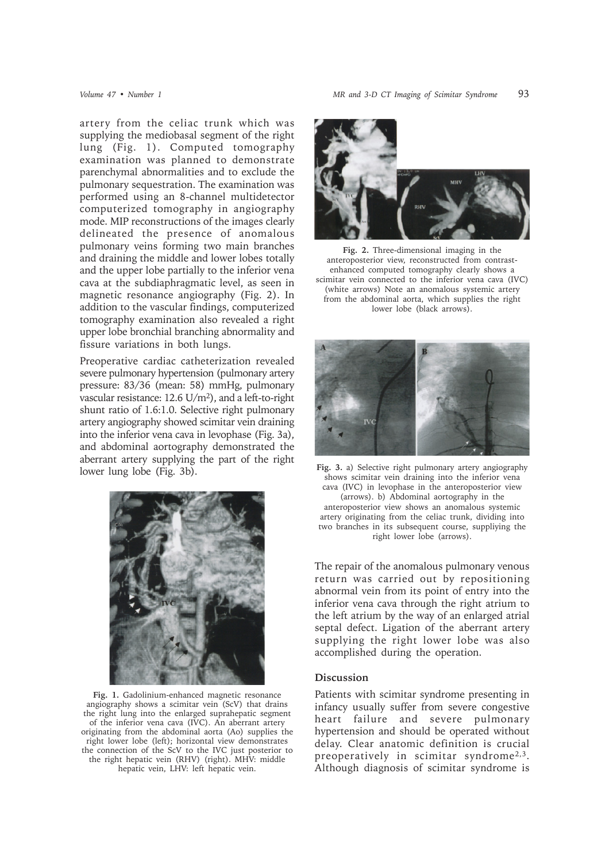artery from the celiac trunk which was supplying the mediobasal segment of the right lung (Fig. 1). Computed tomography examination was planned to demonstrate parenchymal abnormalities and to exclude the pulmonary sequestration. The examination was performed using an 8-channel multidetector computerized tomography in angiography mode. MIP reconstructions of the images clearly delineated the presence of anomalous pulmonary veins forming two main branches and draining the middle and lower lobes totally and the upper lobe partially to the inferior vena cava at the subdiaphragmatic level, as seen in magnetic resonance angiography (Fig. 2). In addition to the vascular findings, computerized tomography examination also revealed a right upper lobe bronchial branching abnormality and fissure variations in both lungs.

Preoperative cardiac catheterization revealed severe pulmonary hypertension (pulmonary artery pressure: 83/36 (mean: 58) mmHg, pulmonary vascular resistance: 12.6 U/m2), and a left-to-right shunt ratio of 1.6:1.0. Selective right pulmonary artery angiography showed scimitar vein draining into the inferior vena cava in levophase (Fig. 3a), and abdominal aortography demonstrated the aberrant artery supplying the part of the right lower lung lobe (Fig. 3b).



**Fig. 1.** Gadolinium-enhanced magnetic resonance angiography shows a scimitar vein (ScV) that drains the right lung into the enlarged suprahepatic segment of the inferior vena cava (IVC). An aberrant artery originating from the abdominal aorta (Ao) supplies the right lower lobe (left); horizontal view demonstrates the connection of the ScV to the IVC just posterior to the right hepatic vein (RHV) (right). MHV: middle hepatic vein, LHV: left hepatic vein.



**Fig. 2.** Three-dimensional imaging in the anteroposterior view, reconstructed from contrastenhanced computed tomography clearly shows a scimitar vein connected to the inferior vena cava (IVC) (white arrows) Note an anomalous systemic artery from the abdominal aorta, which supplies the right lower lobe (black arrows).



**Fig. 3.** a) Selective right pulmonary artery angiography shows scimitar vein draining into the inferior vena cava (IVC) in levophase in the anteroposterior view (arrows). b) Abdominal aortography in the anteroposterior view shows an anomalous systemic artery originating from the celiac trunk, dividing into two branches in its subsequent course, suppliying the right lower lobe (arrows).

The repair of the anomalous pulmonary venous return was carried out by repositioning abnormal vein from its point of entry into the inferior vena cava through the right atrium to the left atrium by the way of an enlarged atrial septal defect. Ligation of the aberrant artery supplying the right lower lobe was also accomplished during the operation.

## **Discussion**

Patients with scimitar syndrome presenting in infancy usually suffer from severe congestive heart failure and severe pulmonary hypertension and should be operated without delay. Clear anatomic definition is crucial preoperatively in scimitar syndrome2,3. Although diagnosis of scimitar syndrome is